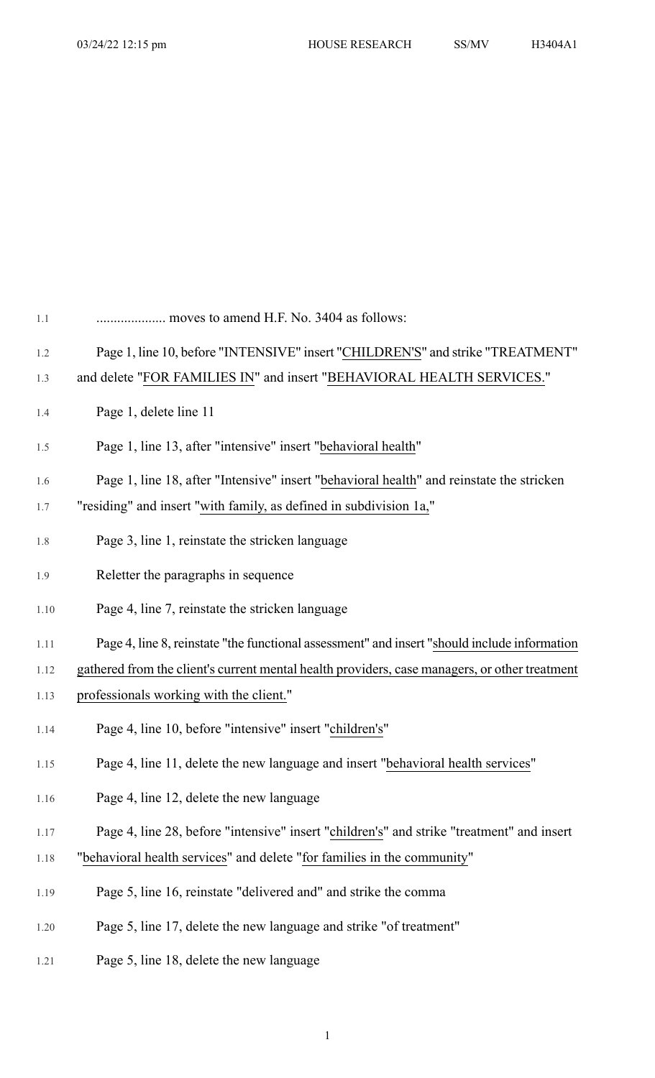| $1.1\,$ | moves to amend H.F. No. 3404 as follows:                                                      |
|---------|-----------------------------------------------------------------------------------------------|
| 1.2     | Page 1, line 10, before "INTENSIVE" insert "CHILDREN'S" and strike "TREATMENT"                |
| 1.3     | and delete "FOR FAMILIES IN" and insert "BEHAVIORAL HEALTH SERVICES."                         |
| 1.4     | Page 1, delete line 11                                                                        |
| 1.5     | Page 1, line 13, after "intensive" insert "behavioral health"                                 |
| 1.6     | Page 1, line 18, after "Intensive" insert "behavioral health" and reinstate the stricken      |
| 1.7     | "residing" and insert "with family, as defined in subdivision 1a,"                            |
| 1.8     | Page 3, line 1, reinstate the stricken language                                               |
| 1.9     | Reletter the paragraphs in sequence                                                           |
| 1.10    | Page 4, line 7, reinstate the stricken language                                               |
| 1.11    | Page 4, line 8, reinstate "the functional assessment" and insert "should include information  |
| 1.12    | gathered from the client's current mental health providers, case managers, or other treatment |
| 1.13    | professionals working with the client."                                                       |
| 1.14    | Page 4, line 10, before "intensive" insert "children's"                                       |
| 1.15    | Page 4, line 11, delete the new language and insert "behavioral health services"              |
| 1.16    | Page 4, line 12, delete the new language                                                      |
| 1.17    | Page 4, line 28, before "intensive" insert "children's" and strike "treatment" and insert     |
| 1.18    | "behavioral health services" and delete "for families in the community"                       |
| 1.19    | Page 5, line 16, reinstate "delivered and" and strike the comma                               |
|         |                                                                                               |

- 1.20 Page 5, line 17, delete the new language and strike "of treatment"
- 1.21 Page 5, line 18, delete the new language

1